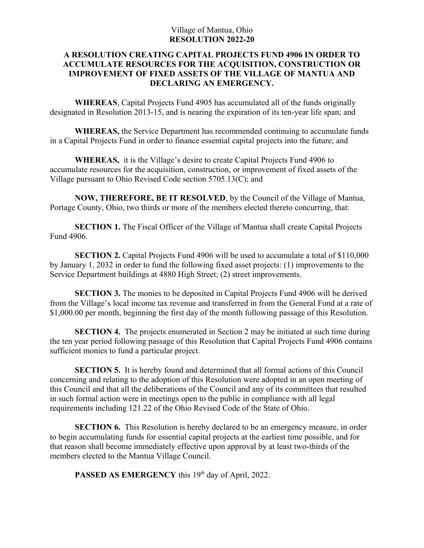## Village of Mantua, Ohio **RESOLUTION 2022-20**

## **A RESOLUTION CREATING CAPITAL PROJECTS FUND 4906 IN ORDER TO ACCUMULATE RESOURCES FOR THE ACQUISITION, CONSTRUCTION OR IMPROVEMENT OF FIXED ASSETS OF THE VILLAGE OF MANTUA AND DECLARING AN EMERGENCY.**

**WHEREAS**, Capital Projects Fund 4905 has accumulated all of the funds originally designated in Resolution 2013-15, and is nearing the expiration of its ten-year life span; and

**WHEREAS,** the Service Department has recommended continuing to accumulate funds in a Capital Projects Fund in order to finance essential capital projects into the future; and

**WHEREAS,** it is the Village's desire to create Capital Projects Fund 4906 to accumulate resources for the acquisition, construction, or improvement of fixed assets of the Village pursuant to Ohio Revised Code section 5705.13(C); and

**NOW, THEREFORE, BE IT RESOLVED**, by the Council of the Village of Mantua, Portage County, Ohio, two thirds or more of the members elected thereto concurring, that:

**SECTION 1.** The Fiscal Officer of the Village of Mantua shall create Capital Projects Fund 4906.

**SECTION 2.** Capital Projects Fund 4906 will be used to accumulate a total of \$110,000 by January 1, 2032 in order to fund the following fixed asset projects: (1) improvements to the Service Department buildings at 4880 High Street; (2) street improvements.

**SECTION 3.** The monies to be deposited in Capital Projects Fund 4906 will be derived from the Village's local income tax revenue and transferred in from the General Fund at a rate of \$1,000.00 per month, beginning the first day of the month following passage of this Resolution.

**SECTION 4.** The projects enumerated in Section 2 may be initiated at such time during the ten year period following passage of this Resolution that Capital Projects Fund 4906 contains sufficient monies to fund a particular project.

**SECTION 5.** It is hereby found and determined that all formal actions of this Council concerning and relating to the adoption of this Resolution were adopted in an open meeting of this Council and that all the deliberations of the Council and any of its committees that resulted in such formal action were in meetings open to the public in compliance with all legal requirements including 121.22 of the Ohio Revised Code of the State of Ohio.

**SECTION 6.** This Resolution is hereby declared to be an emergency measure, in order to begin accumulating funds for essential capital projects at the earliest time possible, and for that reason shall become immediately effective upon approval by at least two-thirds of the members elected to the Mantua Village Council.

PASSED AS EMERGENCY this 19<sup>th</sup> day of April, 2022.